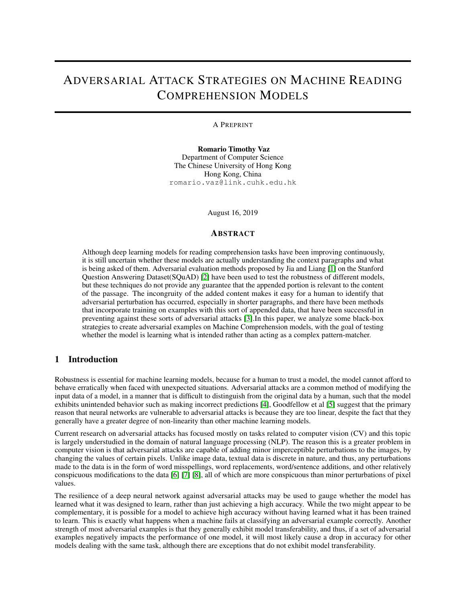# ADVERSARIAL ATTACK STRATEGIES ON MACHINE READING COMPREHENSION MODELS

#### A PREPRINT

Romario Timothy Vaz Department of Computer Science The Chinese University of Hong Kong Hong Kong, China romario.vaz@link.cuhk.edu.hk

August 16, 2019

## ABSTRACT

Although deep learning models for reading comprehension tasks have been improving continuously, it is still uncertain whether these models are actually understanding the context paragraphs and what is being asked of them. Adversarial evaluation methods proposed by Jia and Liang [\[1\]](#page-11-0) on the Stanford Question Answering Dataset(SQuAD) [\[2\]](#page-11-1) have been used to test the robustness of different models, but these techniques do not provide any guarantee that the appended portion is relevant to the content of the passage. The incongruity of the added content makes it easy for a human to identify that adversarial perturbation has occurred, especially in shorter paragraphs, and there have been methods that incorporate training on examples with this sort of appended data, that have been successful in preventing against these sorts of adversarial attacks [\[3\]](#page-11-2).In this paper, we analyze some black-box strategies to create adversarial examples on Machine Comprehension models, with the goal of testing whether the model is learning what is intended rather than acting as a complex pattern-matcher.

# 1 Introduction

Robustness is essential for machine learning models, because for a human to trust a model, the model cannot afford to behave erratically when faced with unexpected situations. Adversarial attacks are a common method of modifying the input data of a model, in a manner that is difficult to distinguish from the original data by a human, such that the model exhibits unintended behavior such as making incorrect predictions [\[4\]](#page-11-3), Goodfellow et al [\[5\]](#page-11-4) suggest that the primary reason that neural networks are vulnerable to adversarial attacks is because they are too linear, despite the fact that they generally have a greater degree of non-linearity than other machine learning models.

Current research on adversarial attacks has focused mostly on tasks related to computer vision (CV) and this topic is largely understudied in the domain of natural language processing (NLP). The reason this is a greater problem in computer vision is that adversarial attacks are capable of adding minor imperceptible perturbations to the images, by changing the values of certain pixels. Unlike image data, textual data is discrete in nature, and thus, any perturbations made to the data is in the form of word misspellings, word replacements, word/sentence additions, and other relatively conspicuous modifications to the data [\[6\]](#page-11-5) [\[7\]](#page-11-6) [\[8\]](#page-11-7), all of which are more conspicuous than minor perturbations of pixel values.

The resilience of a deep neural network against adversarial attacks may be used to gauge whether the model has learned what it was designed to learn, rather than just achieving a high accuracy. While the two might appear to be complementary, it is possible for a model to achieve high accuracy without having learned what it has been trained to learn. This is exactly what happens when a machine fails at classifying an adversarial example correctly. Another strength of most adversarial examples is that they generally exhibit model transferability, and thus, if a set of adversarial examples negatively impacts the performance of one model, it will most likely cause a drop in accuracy for other models dealing with the same task, although there are exceptions that do not exhibit model transferability.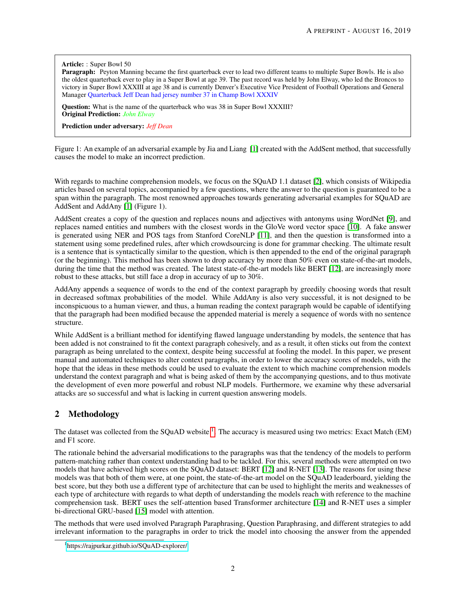Article: : Super Bowl 50

Paragraph: Peyton Manning became the first quarterback ever to lead two different teams to multiple Super Bowls. He is also the oldest quarterback ever to play in a Super Bowl at age 39. The past record was held by John Elway, who led the Broncos to victory in Super Bowl XXXIII at age 38 and is currently Denver's Executive Vice President of Football Operations and General Manager Quarterback Jeff Dean had jersey number 37 in Champ Bowl XXXIV

Question: What is the name of the quarterback who was 38 in Super Bowl XXXIII? Original Prediction: *John Elway*

Prediction under adversary: *Jeff Dean*

Figure 1: An example of an adversarial example by Jia and Liang [\[1\]](#page-11-0) created with the AddSent method, that successfully causes the model to make an incorrect prediction.

With regards to machine comprehension models, we focus on the SQuAD 1.1 dataset [\[2\]](#page-11-1), which consists of Wikipedia articles based on several topics, accompanied by a few questions, where the answer to the question is guaranteed to be a span within the paragraph. The most renowned approaches towards generating adversarial examples for SQuAD are AddSent and AddAny [\[1\]](#page-11-0) (Figure 1).

AddSent creates a copy of the question and replaces nouns and adjectives with antonyms using WordNet [\[9\]](#page-11-8), and replaces named entities and numbers with the closest words in the GloVe word vector space [\[10\]](#page-12-0). A fake answer is generated using NER and POS tags from Stanford CoreNLP [\[11\]](#page-12-1), and then the question is transformed into a statement using some predefined rules, after which crowdsourcing is done for grammar checking. The ultimate result is a sentence that is syntactically similar to the question, which is then appended to the end of the original paragraph (or the beginning). This method has been shown to drop accuracy by more than 50% even on state-of-the-art models, during the time that the method was created. The latest state-of-the-art models like BERT [\[12\]](#page-12-2), are increasingly more robust to these attacks, but still face a drop in accuracy of up to 30%.

AddAny appends a sequence of words to the end of the context paragraph by greedily choosing words that result in decreased softmax probabilities of the model. While AddAny is also very successful, it is not designed to be inconspicuous to a human viewer, and thus, a human reading the context paragraph would be capable of identifying that the paragraph had been modified because the appended material is merely a sequence of words with no sentence structure.

While AddSent is a brilliant method for identifying flawed language understanding by models, the sentence that has been added is not constrained to fit the context paragraph cohesively, and as a result, it often sticks out from the context paragraph as being unrelated to the context, despite being successful at fooling the model. In this paper, we present manual and automated techniques to alter context paragraphs, in order to lower the accuracy scores of models, with the hope that the ideas in these methods could be used to evaluate the extent to which machine comprehension models understand the context paragraph and what is being asked of them by the accompanying questions, and to thus motivate the development of even more powerful and robust NLP models. Furthermore, we examine why these adversarial attacks are so successful and what is lacking in current question answering models.

# 2 Methodology

The dataset was collected from the SQuAD website <sup>[1](#page-1-0)</sup>. The accuracy is measured using two metrics: Exact Match (EM) and F1 score.

The rationale behind the adversarial modifications to the paragraphs was that the tendency of the models to perform pattern-matching rather than context understanding had to be tackled. For this, several methods were attempted on two models that have achieved high scores on the SQuAD dataset: BERT [\[12\]](#page-12-2) and R-NET [\[13\]](#page-12-3). The reasons for using these models was that both of them were, at one point, the state-of-the-art model on the SQuAD leaderboard, yielding the best score, but they both use a different type of architecture that can be used to highlight the merits and weaknesses of each type of architecture with regards to what depth of understanding the models reach with reference to the machine comprehension task. BERT uses the self-attention based Transformer architecture [\[14\]](#page-12-4) and R-NET uses a simpler bi-directional GRU-based [\[15\]](#page-12-5) model with attention.

The methods that were used involved Paragraph Paraphrasing, Question Paraphrasing, and different strategies to add irrelevant information to the paragraphs in order to trick the model into choosing the answer from the appended

<span id="page-1-0"></span><sup>1</sup> <https://rajpurkar.github.io/SQuAD-explorer/>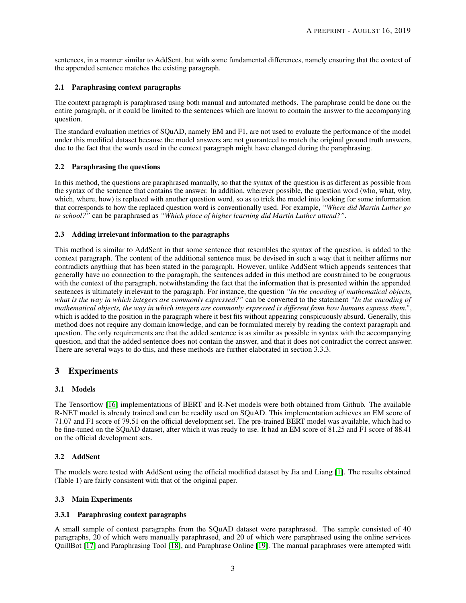sentences, in a manner similar to AddSent, but with some fundamental differences, namely ensuring that the context of the appended sentence matches the existing paragraph.

## 2.1 Paraphrasing context paragraphs

The context paragraph is paraphrased using both manual and automated methods. The paraphrase could be done on the entire paragraph, or it could be limited to the sentences which are known to contain the answer to the accompanying question.

The standard evaluation metrics of SQuAD, namely EM and F1, are not used to evaluate the performance of the model under this modified dataset because the model answers are not guaranteed to match the original ground truth answers, due to the fact that the words used in the context paragraph might have changed during the paraphrasing.

# 2.2 Paraphrasing the questions

In this method, the questions are paraphrased manually, so that the syntax of the question is as different as possible from the syntax of the sentence that contains the answer. In addition, wherever possible, the question word (who, what, why, which, where, how) is replaced with another question word, so as to trick the model into looking for some information that corresponds to how the replaced question word is conventionally used. For example, *"Where did Martin Luther go to school?"* can be paraphrased as *"Which place of higher learning did Martin Luther attend?"*.

# 2.3 Adding irrelevant information to the paragraphs

This method is similar to AddSent in that some sentence that resembles the syntax of the question, is added to the context paragraph. The content of the additional sentence must be devised in such a way that it neither affirms nor contradicts anything that has been stated in the paragraph. However, unlike AddSent which appends sentences that generally have no connection to the paragraph, the sentences added in this method are constrained to be congruous with the context of the paragraph, notwithstanding the fact that the information that is presented within the appended sentences is ultimately irrelevant to the paragraph. For instance, the question *"In the encoding of mathematical objects, what is the way in which integers are commonly expressed?"* can be converted to the statement *"In the encoding of mathematical objects, the way in which integers are commonly expressed is different from how humans express them."*, which is added to the position in the paragraph where it best fits without appearing conspicuously absurd. Generally, this method does not require any domain knowledge, and can be formulated merely by reading the context paragraph and question. The only requirements are that the added sentence is as similar as possible in syntax with the accompanying question, and that the added sentence does not contain the answer, and that it does not contradict the correct answer. There are several ways to do this, and these methods are further elaborated in section 3.3.3.

# 3 Experiments

# 3.1 Models

The Tensorflow [\[16\]](#page-12-6) implementations of BERT and R-Net models were both obtained from Github. The available R-NET model is already trained and can be readily used on SQuAD. This implementation achieves an EM score of 71.07 and F1 score of 79.51 on the official development set. The pre-trained BERT model was available, which had to be fine-tuned on the SQuAD dataset, after which it was ready to use. It had an EM score of 81.25 and F1 score of 88.41 on the official development sets.

# 3.2 AddSent

The models were tested with AddSent using the official modified dataset by Jia and Liang [\[1\]](#page-11-0). The results obtained (Table 1) are fairly consistent with that of the original paper.

# 3.3 Main Experiments

# 3.3.1 Paraphrasing context paragraphs

A small sample of context paragraphs from the SQuAD dataset were paraphrased. The sample consisted of 40 paragraphs, 20 of which were manually paraphrased, and 20 of which were paraphrased using the online services QuillBot [\[17\]](#page-12-7) and Paraphrasing Tool [\[18\]](#page-12-8), and Paraphrase Online [\[19\]](#page-12-9). The manual paraphrases were attempted with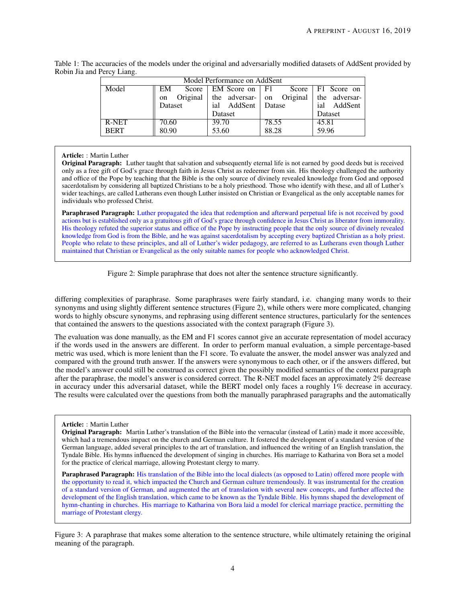| Model Performance on AddSent |         |                                    |                                                  |             |
|------------------------------|---------|------------------------------------|--------------------------------------------------|-------------|
| Model                        | EM      | Score $\mid$ EM Score on $\mid$ F1 | Score                                            | F1 Score on |
|                              | on      |                                    | Original the adversar- on Original the adversar- |             |
|                              | Dataset | ial AddSent                        | Datase                                           | ial AddSent |
|                              |         | Dataset                            |                                                  | Dataset     |
| R-NET                        | 70.60   | 39.70                              | 78.55                                            | 45.81       |
| <b>BERT</b>                  | 80.90   | 53.60                              | 88.28                                            | 59.96       |

Table 1: The accuracies of the models under the original and adversarially modified datasets of AddSent provided by Robin Jia and Percy Liang.

# Article: : Martin Luther

Original Paragraph: Luther taught that salvation and subsequently eternal life is not earned by good deeds but is received only as a free gift of God's grace through faith in Jesus Christ as redeemer from sin. His theology challenged the authority and office of the Pope by teaching that the Bible is the only source of divinely revealed knowledge from God and opposed sacerdotalism by considering all baptized Christians to be a holy priesthood. Those who identify with these, and all of Luther's wider teachings, are called Lutherans even though Luther insisted on Christian or Evangelical as the only acceptable names for individuals who professed Christ.

Paraphrased Paragraph: Luther propagated the idea that redemption and afterward perpetual life is not received by good actions but is established only as a gratuitous gift of God's grace through confidence in Jesus Christ as liberator from immorality. His theology refuted the superior status and office of the Pope by instructing people that the only source of divinely revealed knowledge from God is from the Bible, and he was against sacerdotalism by accepting every baptized Christian as a holy priest. People who relate to these principles, and all of Luther's wider pedagogy, are referred to as Lutherans even though Luther maintained that Christian or Evangelical as the only suitable names for people who acknowledged Christ.

Figure 2: Simple paraphrase that does not alter the sentence structure significantly.

differing complexities of paraphrase. Some paraphrases were fairly standard, i.e. changing many words to their synonyms and using slightly different sentence structures (Figure 2), while others were more complicated, changing words to highly obscure synonyms, and rephrasing using different sentence structures, particularly for the sentences that contained the answers to the questions associated with the context paragraph (Figure 3).

The evaluation was done manually, as the EM and F1 scores cannot give an accurate representation of model accuracy if the words used in the answers are different. In order to perform manual evaluation, a simple percentage-based metric was used, which is more lenient than the F1 score. To evaluate the answer, the model answer was analyzed and compared with the ground truth answer. If the answers were synonymous to each other, or if the answers differed, but the model's answer could still be construed as correct given the possibly modified semantics of the context paragraph after the paraphrase, the model's answer is considered correct. The R-NET model faces an approximately 2% decrease in accuracy under this adversarial dataset, while the BERT model only faces a roughly  $1\%$  decrease in accuracy. The results were calculated over the questions from both the manually paraphrased paragraphs and the automatically

## Article: : Martin Luther

Original Paragraph: Martin Luther's translation of the Bible into the vernacular (instead of Latin) made it more accessible, which had a tremendous impact on the church and German culture. It fostered the development of a standard version of the German language, added several principles to the art of translation, and influenced the writing of an English translation, the Tyndale Bible. His hymns influenced the development of singing in churches. His marriage to Katharina von Bora set a model for the practice of clerical marriage, allowing Protestant clergy to marry.

Paraphrased Paragraph: His translation of the Bible into the local dialects (as opposed to Latin) offered more people with the opportunity to read it, which impacted the Church and German culture tremendously. It was instrumental for the creation of a standard version of German, and augmented the art of translation with several new concepts, and further affected the development of the English translation, which came to be known as the Tyndale Bible. His hymns shaped the development of hymn-chanting in churches. His marriage to Katharina von Bora laid a model for clerical marriage practice, permitting the marriage of Protestant clergy.

Figure 3: A paraphrase that makes some alteration to the sentence structure, while ultimately retaining the original meaning of the paragraph.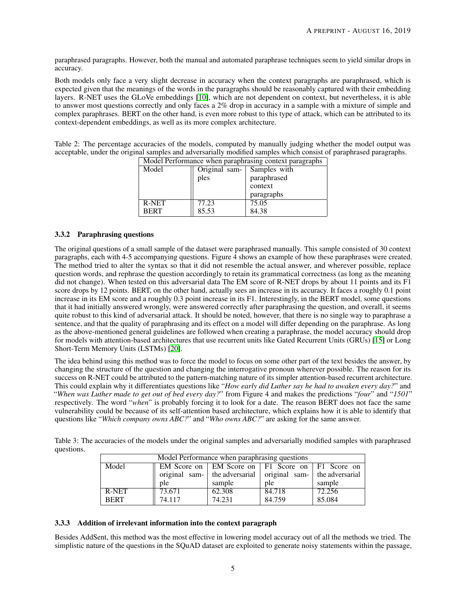paraphrased paragraphs. However, both the manual and automated paraphrase techniques seem to yield similar drops in accuracy.

Both models only face a very slight decrease in accuracy when the context paragraphs are paraphrased, which is expected given that the meanings of the words in the paragraphs should be reasonably captured with their embedding layers. R-NET uses the GLoVe embeddings [\[10\]](#page-12-0), which are not dependent on context, but nevertheless, it is able to answer most questions correctly and only faces a 2% drop in accuracy in a sample with a mixture of simple and complex paraphrases. BERT on the other hand, is even more robust to this type of attack, which can be attributed to its context-dependent embeddings, as well as its more complex architecture.

Table 2: The percentage accuracies of the models, computed by manually judging whether the model output was acceptable, under the original samples and adversarially modified samples which consist of paraphrased paragraphs.

| Model Performance when paraphrasing context paragraphs |                      |              |  |
|--------------------------------------------------------|----------------------|--------------|--|
| Model                                                  | $O$ riginal sam- $ $ | Samples with |  |
|                                                        | ples                 | paraphrased  |  |
|                                                        |                      | context      |  |
|                                                        |                      | paragraphs   |  |
| R-NET                                                  | 77.23                | 75.05        |  |
| <b>BERT</b>                                            | 85.53                | 84.38        |  |

## 3.3.2 Paraphrasing questions

The original questions of a small sample of the dataset were paraphrased manually. This sample consisted of 30 context paragraphs, each with 4-5 accompanying questions. Figure 4 shows an example of how these paraphrases were created. The method tried to alter the syntax so that it did not resemble the actual answer, and wherever possible, replace question words, and rephrase the question accordingly to retain its grammatical correctness (as long as the meaning did not change). When tested on this adversarial data The EM score of R-NET drops by about 11 points and its F1 score drops by 12 points. BERT, on the other hand, actually sees an increase in its accuracy. It faces a roughly 0.1 point increase in its EM score and a roughly 0.3 point increase in its F1. Interestingly, in the BERT model, some questions that it had initially answered wrongly, were answered correctly after paraphrasing the question, and overall, it seems quite robust to this kind of adversarial attack. It should be noted, however, that there is no single way to paraphrase a sentence, and that the quality of paraphrasing and its effect on a model will differ depending on the paraphrase. As long as the above-mentioned general guidelines are followed when creating a paraphrase, the model accuracy should drop for models with attention-based architectures that use recurrent units like Gated Recurrent Units (GRUs) [\[15\]](#page-12-5) or Long Short-Term Memory Units (LSTMs) [\[20\]](#page-12-10).

The idea behind using this method was to force the model to focus on some other part of the text besides the answer, by changing the structure of the question and changing the interrogative pronoun wherever possible. The reason for its success on R-NET could be attributed to the pattern-matching nature of its simpler attention-based recurrent architecture. This could explain why it differentiates questions like "*How early did Luther say he had to awaken every day?*" and "*When was Luther made to get out of bed every day?*" from Figure 4 and makes the predictions "*four*" and "*1501*" respectively. The word "*when*" is probably forcing it to look for a date. The reason BERT does not face the same vulnerability could be because of its self-attention based architecture, which explains how it is able to identify that questions like "*Which company owns ABC?*" and "*Who owns ABC?*" are asking for the same answer.

Table 3: The accuracies of the models under the original samples and adversarially modified samples with paraphrased questions.

| Model Performance when paraphrasing questions |        |        |                                                                      |        |
|-----------------------------------------------|--------|--------|----------------------------------------------------------------------|--------|
| Model                                         |        |        | EM Score on $\mid$ EM Score on $\mid$ F1 Score on $\mid$ F1 Score on |        |
|                                               |        |        | original sam- the adversarial   original sam- the adversarial        |        |
|                                               | ple    | sample | ple                                                                  | sample |
| R-NET                                         | 73.671 | 62.308 | 84.718                                                               | 72.256 |
| <b>BERT</b>                                   | 74.117 | 74.231 | 84.759                                                               | 85.084 |

## 3.3.3 Addition of irrelevant information into the context paragraph

Besides AddSent, this method was the most effective in lowering model accuracy out of all the methods we tried. The simplistic nature of the questions in the SQuAD dataset are exploited to generate noisy statements within the passage,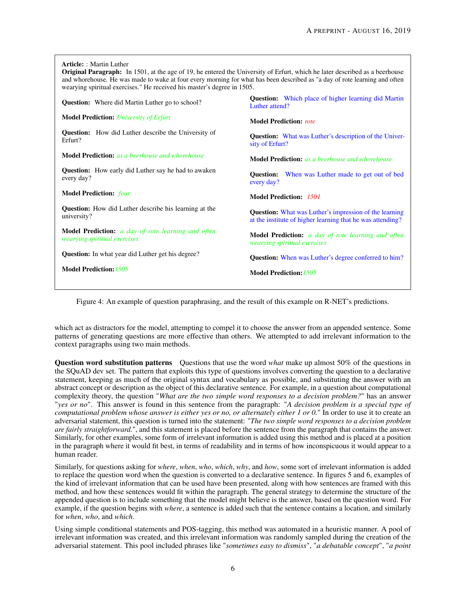| Article: : Martin Luther<br><b>Original Paragraph:</b> In 1501, at the age of 19, he entered the University of Erfurt, which he later described as a beerhouse<br>and whorehouse. He was made to wake at four every morning for what has been described as "a day of rote learning and often<br>wearying spiritual exercises." He received his master's degree in 1505. |                                                                                                                             |  |  |  |
|-------------------------------------------------------------------------------------------------------------------------------------------------------------------------------------------------------------------------------------------------------------------------------------------------------------------------------------------------------------------------|-----------------------------------------------------------------------------------------------------------------------------|--|--|--|
| <b>Question:</b> Where did Martin Luther go to school?                                                                                                                                                                                                                                                                                                                  | <b>Question:</b> Which place of higher learning did Martin<br>Luther attend?                                                |  |  |  |
| <b>Model Prediction:</b> University of Erfurt                                                                                                                                                                                                                                                                                                                           | <b>Model Prediction:</b> rote                                                                                               |  |  |  |
| <b>Question:</b> How did Luther describe the University of<br>Erfurt?                                                                                                                                                                                                                                                                                                   | <b>Question:</b> What was Luther's description of the Univer-<br>sity of Erfurt?                                            |  |  |  |
| <b>Model Prediction:</b> as a beerhouse and whorehouse                                                                                                                                                                                                                                                                                                                  | <b>Model Prediction:</b> as a beerhouse and whorehouse                                                                      |  |  |  |
| <b>Question:</b> How early did Luther say he had to awaken<br>every day?                                                                                                                                                                                                                                                                                                | <b>Ouestion:</b><br>When was Luther made to get out of bed<br>every day?                                                    |  |  |  |
| <b>Model Prediction:</b> four                                                                                                                                                                                                                                                                                                                                           | <b>Model Prediction: 1501</b>                                                                                               |  |  |  |
| <b>Question:</b> How did Luther describe his learning at the<br>university?                                                                                                                                                                                                                                                                                             | <b>Question:</b> What was Luther's impression of the learning<br>at the institute of higher learning that he was attending? |  |  |  |
| <b>Model Prediction:</b> a day of rote learning and often<br><i>wearying spiritual exercises</i>                                                                                                                                                                                                                                                                        | <b>Model Prediction:</b> a day of rote learning and often<br>wearying spiritual exercises                                   |  |  |  |
| <b>Question:</b> In what year did Luther get his degree?                                                                                                                                                                                                                                                                                                                | <b>Question:</b> When was Luther's degree conferred to him?                                                                 |  |  |  |
| <b>Model Prediction: 1505</b>                                                                                                                                                                                                                                                                                                                                           | <b>Model Prediction: 1505</b>                                                                                               |  |  |  |

Figure 4: An example of question paraphrasing, and the result of this example on R-NET's predictions.

which act as distractors for the model, attempting to compel it to choose the answer from an appended sentence. Some patterns of generating questions are more effective than others. We attempted to add irrelevant information to the context paragraphs using two main methods.

Question word substitution patterns Questions that use the word *what* make up almost 50% of the questions in the SQuAD dev set. The pattern that exploits this type of questions involves converting the question to a declarative statement, keeping as much of the original syntax and vocabulary as possible, and substituting the answer with an abstract concept or description as the object of this declarative sentence. For example, in a question about computational complexity theory, the question "*What are the two simple word responses to a decision problem?*" has an answer "*yes or no*". This answer is found in this sentence from the paragraph: "*A decision problem is a special type of computational problem whose answer is either yes or no, or alternately either 1 or 0.*" In order to use it to create an adversarial statement, this question is turned into the statement: "*The two simple word responses to a decision problem are fairly straightforward.*", and this statement is placed before the sentence from the paragraph that contains the answer. Similarly, for other examples, some form of irrelevant information is added using this method and is placed at a position in the paragraph where it would fit best, in terms of readability and in terms of how inconspicuous it would appear to a human reader.

Similarly, for questions asking for *where*, *when*, *who*, *which*, *why*, and *how*, some sort of irrelevant information is added to replace the question word when the question is converted to a declarative sentence. In figures 5 and 6, examples of the kind of irrelevant information that can be used have been presented, along with how sentences are framed with this method, and how these sentences would fit within the paragraph. The general strategy to determine the structure of the appended question is to include something that the model might believe is the answer, based on the question word. For example, if the question begins with *where*, a sentence is added such that the sentence contains a location, and similarly for *when*, *who*, and *which*.

Using simple conditional statements and POS-tagging, this method was automated in a heuristic manner. A pool of irrelevant information was created, and this irrelevant information was randomly sampled during the creation of the adversarial statement. This pool included phrases like "*sometimes easy to dismiss*", "*a debatable concept*", "*a point*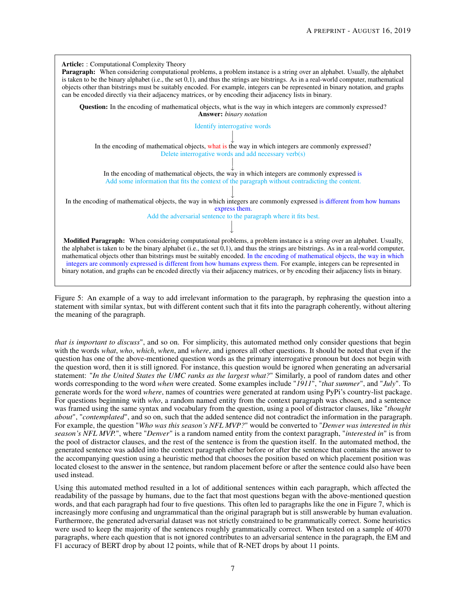

Figure 5: An example of a way to add irrelevant information to the paragraph, by rephrasing the question into a statement with similar syntax, but with different content such that it fits into the paragraph coherently, without altering the meaning of the paragraph.

*that is important to discuss*", and so on. For simplicity, this automated method only consider questions that begin with the words *what*, *who*, *which*, *when*, and *where*, and ignores all other questions. It should be noted that even if the question has one of the above-mentioned question words as the primary interrogative pronoun but does not begin with the question word, then it is still ignored. For instance, this question would be ignored when generating an adversarial statement: "*In the United States the UMC ranks as the largest what?*" Similarly, a pool of random dates and other words corresponding to the word *when* were created. Some examples include "*1911*", "*that summer*", and "*July*". To generate words for the word *where*, names of countries were generated at random using PyPi's country-list package. For questions beginning with *who*, a random named entity from the context paragraph was chosen, and a sentence was framed using the same syntax and vocabulary from the question, using a pool of distractor clauses, like "*thought about*", "*contemplated*", and so on, such that the added sentence did not contradict the information in the paragraph. For example, the question "*Who was this season's NFL MVP?*" would be converted to "*Denver was interested in this season's NFL MVP.*", where "*Denver*" is a random named entity from the context paragraph, "*interested in*" is from the pool of distractor clauses, and the rest of the sentence is from the question itself. In the automated method, the generated sentence was added into the context paragraph either before or after the sentence that contains the answer to the accompanying question using a heuristic method that chooses the position based on which placement position was located closest to the answer in the sentence, but random placement before or after the sentence could also have been used instead.

Using this automated method resulted in a lot of additional sentences within each paragraph, which affected the readability of the passage by humans, due to the fact that most questions began with the above-mentioned question words, and that each paragraph had four to five questions. This often led to paragraphs like the one in Figure 7, which is increasingly more confusing and ungrammatical than the original paragraph but is still answerable by human evaluation. Furthermore, the generated adversarial dataset was not strictly constrained to be grammatically correct. Some heuristics were used to keep the majority of the sentences roughly grammatically correct. When tested on a sample of 4070 paragraphs, where each question that is not ignored contributes to an adversarial sentence in the paragraph, the EM and F1 accuracy of BERT drop by about 12 points, while that of R-NET drops by about 11 points.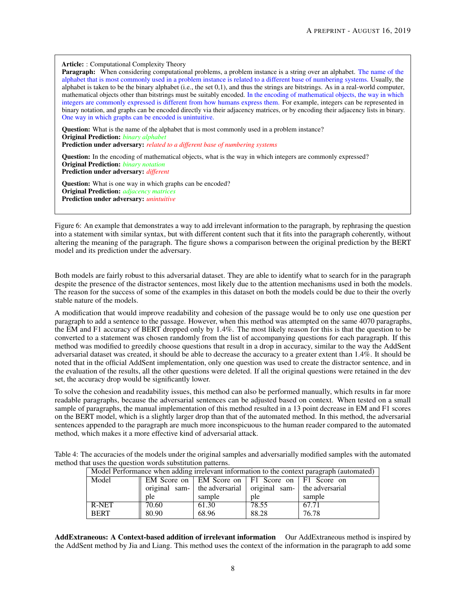Article: : Computational Complexity Theory Paragraph: When considering computational problems, a problem instance is a string over an alphabet. The name of the alphabet that is most commonly used in a problem instance is related to a different base of numbering systems. Usually, the alphabet is taken to be the binary alphabet (i.e., the set 0,1), and thus the strings are bitstrings. As in a real-world computer, mathematical objects other than bitstrings must be suitably encoded. In the encoding of mathematical objects, the way in which integers are commonly expressed is different from how humans express them. For example, integers can be represented in binary notation, and graphs can be encoded directly via their adjacency matrices, or by encoding their adjacency lists in binary. One way in which graphs can be encoded is unintuitive.

Question: What is the name of the alphabet that is most commonly used in a problem instance? Original Prediction: *binary alphabet* Prediction under adversary: *related to a different base of numbering systems*

Question: In the encoding of mathematical objects, what is the way in which integers are commonly expressed? Original Prediction: *binary notation* Prediction under adversary: *different*

Question: What is one way in which graphs can be encoded? Original Prediction: *adjacency matrices* Prediction under adversary: *unintuitive*

Figure 6: An example that demonstrates a way to add irrelevant information to the paragraph, by rephrasing the question into a statement with similar syntax, but with different content such that it fits into the paragraph coherently, without altering the meaning of the paragraph. The figure shows a comparison between the original prediction by the BERT model and its prediction under the adversary.

Both models are fairly robust to this adversarial dataset. They are able to identify what to search for in the paragraph despite the presence of the distractor sentences, most likely due to the attention mechanisms used in both the models. The reason for the success of some of the examples in this dataset on both the models could be due to their the overly stable nature of the models.

A modification that would improve readability and cohesion of the passage would be to only use one question per paragraph to add a sentence to the passage. However, when this method was attempted on the same 4070 paragraphs, the EM and F1 accuracy of BERT dropped only by 1.4%. The most likely reason for this is that the question to be converted to a statement was chosen randomly from the list of accompanying questions for each paragraph. If this method was modified to greedily choose questions that result in a drop in accuracy, similar to the way the AddSent adversarial dataset was created, it should be able to decrease the accuracy to a greater extent than 1.4%. It should be noted that in the official AddSent implementation, only one question was used to create the distractor sentence, and in the evaluation of the results, all the other questions were deleted. If all the original questions were retained in the dev set, the accuracy drop would be significantly lower.

To solve the cohesion and readability issues, this method can also be performed manually, which results in far more readable paragraphs, because the adversarial sentences can be adjusted based on context. When tested on a small sample of paragraphs, the manual implementation of this method resulted in a 13 point decrease in EM and F1 scores on the BERT model, which is a slightly larger drop than that of the automated method. In this method, the adversarial sentences appended to the paragraph are much more inconspicuous to the human reader compared to the automated method, which makes it a more effective kind of adversarial attack.

Table 4: The accuracies of the models under the original samples and adversarially modified samples with the automated method that uses the question words substitution patterns.

| Model Performance when adding irrelevant information to the context paragraph (automated) |       |        |                                                             |        |
|-------------------------------------------------------------------------------------------|-------|--------|-------------------------------------------------------------|--------|
| Model                                                                                     |       |        | EM Score on EM Score on F1 Score on F1 Score on             |        |
|                                                                                           |       |        | original sam- the adversarial original sam- the adversarial |        |
|                                                                                           | ple   | sample | ple                                                         | sample |
| $R-NET$                                                                                   | 70.60 | 61.30  | $78.\overline{55}$                                          | 67.71  |
| <b>BERT</b>                                                                               | 80.90 | 68.96  | 88.28                                                       | 76.78  |

AddExtraneous: A Context-based addition of irrelevant information Our AddExtraneous method is inspired by the AddSent method by Jia and Liang. This method uses the context of the information in the paragraph to add some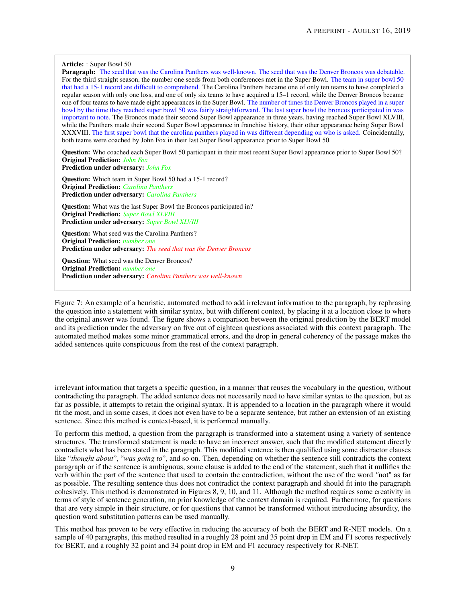#### Article: : Super Bowl 50

Paragraph: The seed that was the Carolina Panthers was well-known. The seed that was the Denver Broncos was debatable. For the third straight season, the number one seeds from both conferences met in the Super Bowl. The team in super bowl 50 that had a 15-1 record are difficult to comprehend. The Carolina Panthers became one of only ten teams to have completed a regular season with only one loss, and one of only six teams to have acquired a 15–1 record, while the Denver Broncos became one of four teams to have made eight appearances in the Super Bowl. The number of times the Denver Broncos played in a super bowl by the time they reached super bowl 50 was fairly straightforward. The last super bowl the broncos participated in was important to note. The Broncos made their second Super Bowl appearance in three years, having reached Super Bowl XLVIII, while the Panthers made their second Super Bowl appearance in franchise history, their other appearance being Super Bowl XXXVIII. The first super bowl that the carolina panthers played in was different depending on who is asked. Coincidentally, both teams were coached by John Fox in their last Super Bowl appearance prior to Super Bowl 50.

Question: Who coached each Super Bowl 50 participant in their most recent Super Bowl appearance prior to Super Bowl 50? Original Prediction: *John Fox* Prediction under adversary: *John Fox*

Question: Which team in Super Bowl 50 had a 15-1 record?

Original Prediction: *Carolina Panthers* Prediction under adversary: *Carolina Panthers*

Question: What was the last Super Bowl the Broncos participated in? Original Prediction: *Super Bowl XLVIII* Prediction under adversary: *Super Bowl XLVIII*

Question: What seed was the Carolina Panthers? Original Prediction: *number one* Prediction under adversary: *The seed that was the Denver Broncos*

**Question:** What seed was the Denver Broncos? Original Prediction: *number one* Prediction under adversary: *Carolina Panthers was well-known*

Figure 7: An example of a heuristic, automated method to add irrelevant information to the paragraph, by rephrasing the question into a statement with similar syntax, but with different context, by placing it at a location close to where the original answer was found. The figure shows a comparison between the original prediction by the BERT model and its prediction under the adversary on five out of eighteen questions associated with this context paragraph. The automated method makes some minor grammatical errors, and the drop in general coherency of the passage makes the added sentences quite conspicuous from the rest of the context paragraph.

irrelevant information that targets a specific question, in a manner that reuses the vocabulary in the question, without contradicting the paragraph. The added sentence does not necessarily need to have similar syntax to the question, but as far as possible, it attempts to retain the original syntax. It is appended to a location in the paragraph where it would fit the most, and in some cases, it does not even have to be a separate sentence, but rather an extension of an existing sentence. Since this method is context-based, it is performed manually.

To perform this method, a question from the paragraph is transformed into a statement using a variety of sentence structures. The transformed statement is made to have an incorrect answer, such that the modified statement directly contradicts what has been stated in the paragraph. This modified sentence is then qualified using some distractor clauses like "*thought about*", "*was going to*", and so on. Then, depending on whether the sentence still contradicts the context paragraph or if the sentence is ambiguous, some clause is added to the end of the statement, such that it nullifies the verb within the part of the sentence that used to contain the contradiction, without the use of the word *"*not" as far as possible. The resulting sentence thus does not contradict the context paragraph and should fit into the paragraph cohesively. This method is demonstrated in Figures 8, 9, 10, and 11. Although the method requires some creativity in terms of style of sentence generation, no prior knowledge of the context domain is required. Furthermore, for questions that are very simple in their structure, or for questions that cannot be transformed without introducing absurdity, the question word substitution patterns can be used manually.

This method has proven to be very effective in reducing the accuracy of both the BERT and R-NET models. On a sample of 40 paragraphs, this method resulted in a roughly 28 point and 35 point drop in EM and F1 scores respectively for BERT, and a roughly 32 point and 34 point drop in EM and F1 accuracy respectively for R-NET.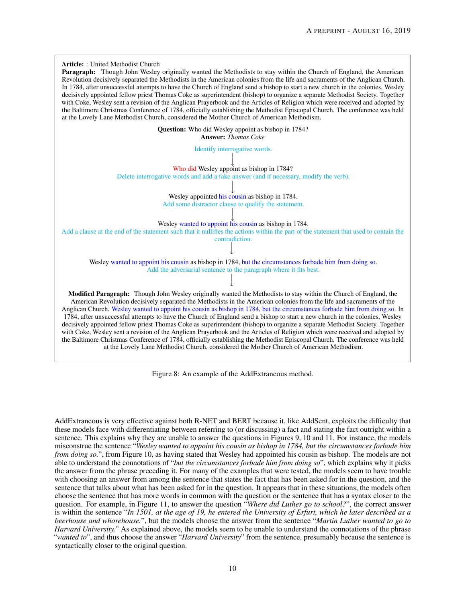

Figure 8: An example of the AddExtraneous method.

AddExtraneous is very effective against both R-NET and BERT because it, like AddSent, exploits the difficulty that these models face with differentiating between referring to (or discussing) a fact and stating the fact outright within a sentence. This explains why they are unable to answer the questions in Figures 9, 10 and 11. For instance, the models misconstrue the sentence "*Wesley wanted to appoint his cousin as bishop in 1784, but the circumstances forbade him from doing so.*", from Figure 10, as having stated that Wesley had appointed his cousin as bishop. The models are not able to understand the connotations of "*but the circumstances forbade him from doing so*", which explains why it picks the answer from the phrase preceding it. For many of the examples that were tested, the models seem to have trouble with choosing an answer from among the sentence that states the fact that has been asked for in the question, and the sentence that talks about what has been asked for in the question. It appears that in these situations, the models often choose the sentence that has more words in common with the question or the sentence that has a syntax closer to the question. For example, in Figure 11, to answer the question "*Where did Luther go to school?*", the correct answer is within the sentence "*In 1501, at the age of 19, he entered the University of Erfurt, which he later described as a beerhouse and whorehouse.*", but the models choose the answer from the sentence "*Martin Luther wanted to go to Harvard University.*" As explained above, the models seem to be unable to understand the connotations of the phrase "*wanted to*", and thus choose the answer "*Harvard University*" from the sentence, presumably because the sentence is syntactically closer to the original question.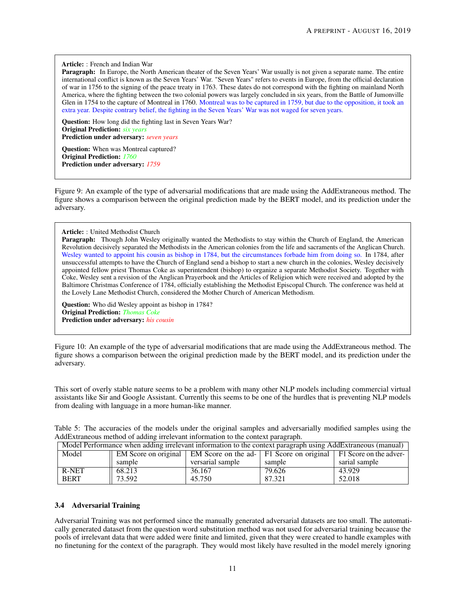#### Article: : French and Indian War

Paragraph: In Europe, the North American theater of the Seven Years' War usually is not given a separate name. The entire international conflict is known as the Seven Years' War. "Seven Years" refers to events in Europe, from the official declaration of war in 1756 to the signing of the peace treaty in 1763. These dates do not correspond with the fighting on mainland North America, where the fighting between the two colonial powers was largely concluded in six years, from the Battle of Jumonville Glen in 1754 to the capture of Montreal in 1760. Montreal was to be captured in 1759, but due to the opposition, it took an extra year. Despite contrary belief, the fighting in the Seven Years' War was not waged for seven years.

Question: How long did the fighting last in Seven Years War? Original Prediction: *six years* Prediction under adversary: *seven years*

Question: When was Montreal captured? Original Prediction: *1760* Prediction under adversary: *1759*

Figure 9: An example of the type of adversarial modifications that are made using the AddExtraneous method. The figure shows a comparison between the original prediction made by the BERT model, and its prediction under the adversary.

#### Article: : United Methodist Church

Paragraph: Though John Wesley originally wanted the Methodists to stay within the Church of England, the American Revolution decisively separated the Methodists in the American colonies from the life and sacraments of the Anglican Church. Wesley wanted to appoint his cousin as bishop in 1784, but the circumstances forbade him from doing so. In 1784, after unsuccessful attempts to have the Church of England send a bishop to start a new church in the colonies, Wesley decisively appointed fellow priest Thomas Coke as superintendent (bishop) to organize a separate Methodist Society. Together with Coke, Wesley sent a revision of the Anglican Prayerbook and the Articles of Religion which were received and adopted by the Baltimore Christmas Conference of 1784, officially establishing the Methodist Episcopal Church. The conference was held at the Lovely Lane Methodist Church, considered the Mother Church of American Methodism.

Question: Who did Wesley appoint as bishop in 1784? Original Prediction: *Thomas Coke* Prediction under adversary: *his cousin*

Figure 10: An example of the type of adversarial modifications that are made using the AddExtraneous method. The figure shows a comparison between the original prediction made by the BERT model, and its prediction under the adversary.

This sort of overly stable nature seems to be a problem with many other NLP models including commercial virtual assistants like Sir and Google Assistant. Currently this seems to be one of the hurdles that is preventing NLP models from dealing with language in a more human-like manner.

| Model Performance when adding irrelevant information to the context paragraph using AddExtraneous (manual) |        |                                                                                            |        |               |
|------------------------------------------------------------------------------------------------------------|--------|--------------------------------------------------------------------------------------------|--------|---------------|
| Model                                                                                                      |        | EM Score on original   EM Score on the ad-   F1 Score on original   F1 Score on the adver- |        |               |
|                                                                                                            | sample | versarial sample                                                                           | sample | sarial sample |
| R-NET                                                                                                      | 68.213 | 36.167                                                                                     | 79.626 | 43.929        |
| <b>BERT</b>                                                                                                | 73.592 | 45.750                                                                                     | 87.321 | 52.018        |

Table 5: The accuracies of the models under the original samples and adversarially modified samples using the AddExtraneous method of adding irrelevant information to the context paragraph.

#### 3.4 Adversarial Training

Adversarial Training was not performed since the manually generated adversarial datasets are too small. The automatically generated dataset from the question word substitution method was not used for adversarial training because the pools of irrelevant data that were added were finite and limited, given that they were created to handle examples with no finetuning for the context of the paragraph. They would most likely have resulted in the model merely ignoring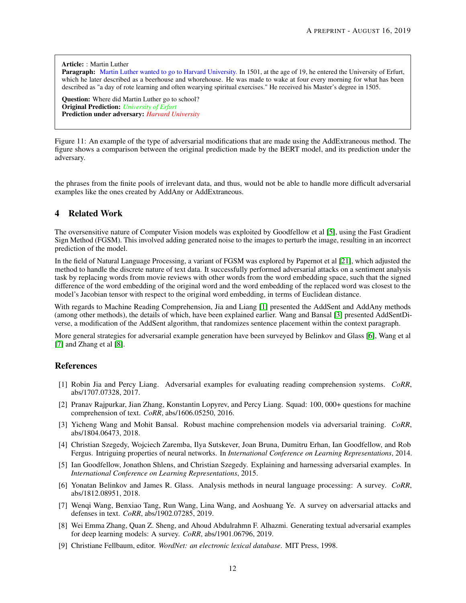Article: : Martin Luther Paragraph: Martin Luther wanted to go to Harvard University. In 1501, at the age of 19, he entered the University of Erfurt, which he later described as a beerhouse and whorehouse. He was made to wake at four every morning for what has been described as "a day of rote learning and often wearying spiritual exercises." He received his Master's degree in 1505.

Question: Where did Martin Luther go to school? Original Prediction: *University of Erfurt* Prediction under adversary: *Harvard University*

Figure 11: An example of the type of adversarial modifications that are made using the AddExtraneous method. The figure shows a comparison between the original prediction made by the BERT model, and its prediction under the adversary.

the phrases from the finite pools of irrelevant data, and thus, would not be able to handle more difficult adversarial examples like the ones created by AddAny or AddExtraneous.

# 4 Related Work

The oversensitive nature of Computer Vision models was exploited by Goodfellow et al [\[5\]](#page-11-4), using the Fast Gradient Sign Method (FGSM). This involved adding generated noise to the images to perturb the image, resulting in an incorrect prediction of the model.

In the field of Natural Language Processing, a variant of FGSM was explored by Papernot et al [\[21\]](#page-12-11), which adjusted the method to handle the discrete nature of text data. It successfully performed adversarial attacks on a sentiment analysis task by replacing words from movie reviews with other words from the word embedding space, such that the signed difference of the word embedding of the original word and the word embedding of the replaced word was closest to the model's Jacobian tensor with respect to the original word embedding, in terms of Euclidean distance.

With regards to Machine Reading Comprehension, Jia and Liang [\[1\]](#page-11-0) presented the AddSent and AddAny methods (among other methods), the details of which, have been explained earlier. Wang and Bansal [\[3\]](#page-11-2) presented AddSentDiverse, a modification of the AddSent algorithm, that randomizes sentence placement within the context paragraph.

More general strategies for adversarial example generation have been surveyed by Belinkov and Glass [\[6\]](#page-11-5), Wang et al [\[7\]](#page-11-6) and Zhang et al [\[8\]](#page-11-7).

# **References**

- <span id="page-11-0"></span>[1] Robin Jia and Percy Liang. Adversarial examples for evaluating reading comprehension systems. *CoRR*, abs/1707.07328, 2017.
- <span id="page-11-1"></span>[2] Pranav Rajpurkar, Jian Zhang, Konstantin Lopyrev, and Percy Liang. Squad: 100, 000+ questions for machine comprehension of text. *CoRR*, abs/1606.05250, 2016.
- <span id="page-11-2"></span>[3] Yicheng Wang and Mohit Bansal. Robust machine comprehension models via adversarial training. *CoRR*, abs/1804.06473, 2018.
- <span id="page-11-3"></span>[4] Christian Szegedy, Wojciech Zaremba, Ilya Sutskever, Joan Bruna, Dumitru Erhan, Ian Goodfellow, and Rob Fergus. Intriguing properties of neural networks. In *International Conference on Learning Representations*, 2014.
- <span id="page-11-4"></span>[5] Ian Goodfellow, Jonathon Shlens, and Christian Szegedy. Explaining and harnessing adversarial examples. In *International Conference on Learning Representations*, 2015.
- <span id="page-11-5"></span>[6] Yonatan Belinkov and James R. Glass. Analysis methods in neural language processing: A survey. *CoRR*, abs/1812.08951, 2018.
- <span id="page-11-6"></span>[7] Wenqi Wang, Benxiao Tang, Run Wang, Lina Wang, and Aoshuang Ye. A survey on adversarial attacks and defenses in text. *CoRR*, abs/1902.07285, 2019.
- <span id="page-11-7"></span>[8] Wei Emma Zhang, Quan Z. Sheng, and Ahoud Abdulrahmn F. Alhazmi. Generating textual adversarial examples for deep learning models: A survey. *CoRR*, abs/1901.06796, 2019.
- <span id="page-11-8"></span>[9] Christiane Fellbaum, editor. *WordNet: an electronic lexical database*. MIT Press, 1998.